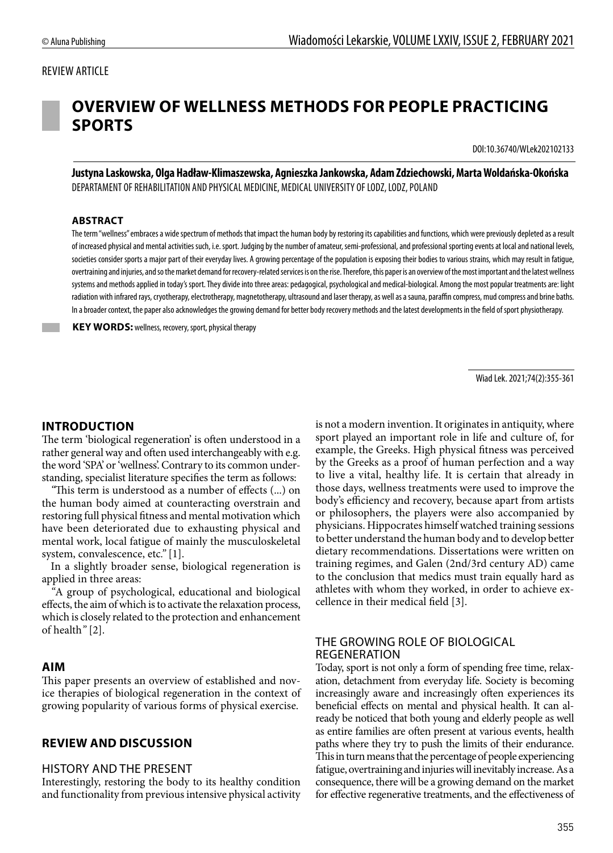# REVIEW ARTICLE



# **OVERVIEW OF WELLNESS METHODS FOR PEOPLE PRACTICING SPORTS**

DOI:10.36740/WLek202102133

**Justyna Laskowska, Olga Hadław-Klimaszewska, Agnieszka Jankowska, Adam Zdziechowski, Marta Woldańska-Okońska** DEPARTAMENT OF REHABILITATION AND PHYSICAL MEDICINE, MEDICAL UNIVERSITY OF LODZ, LODZ, POLAND

#### **ABSTRACT**

The term "wellness" embraces a wide spectrum of methods that impact the human body by restoring its capabilities and functions, which were previously depleted as a result of increased physical and mental activities such, i.e. sport. Judging by the number of amateur, semi-professional, and professional sporting events at local and national levels, societies consider sports a major part of their everyday lives. A growing percentage of the population is exposing their bodies to various strains, which may result in fatigue, overtraining and injuries, and so the market demand for recovery-related services is on the rise. Therefore, this paper is an overview of the most important and the latest wellness systems and methods applied in today's sport. They divide into three areas: pedagogical, psychological and medical-biological. Among the most popular treatments are: light radiation with infrared rays, cryotherapy, electrotherapy, magnetotherapy, ultrasound and laser therapy, as well as a sauna, paraffin compress, mud compress and brine baths. In a broader context, the paper also acknowledges the growing demand for better body recovery methods and the latest developments in the field of sport physiotherapy.

 **KEY WORDS:** wellness, recovery, sport, physical therapy

Wiad Lek. 2021;74(2):355-361

# **INTRODUCTION**

The term 'biological regeneration' is often understood in a rather general way and often used interchangeably with e.g. the word 'SPA' or 'wellness'. Contrary to its common understanding, specialist literature specifies the term as follows:

*"*This term is understood as a number of effects (...) on the human body aimed at counteracting overstrain and restoring full physical fitness and mental motivation which have been deteriorated due to exhausting physical and mental work, local fatigue of mainly the musculoskeletal system, convalescence, etc*."* [1].

In a slightly broader sense, biological regeneration is applied in three areas:

*"*A group of psychological, educational and biological effects, the aim of which is to activate the relaxation process, which is closely related to the protection and enhancement of health*"* [2].

## **AIM**

This paper presents an overview of established and novice therapies of biological regeneration in the context of growing popularity of various forms of physical exercise.

## **REVIEW AND DISCUSSION**

#### HISTORY AND THE PRESENT

Interestingly, restoring the body to its healthy condition and functionality from previous intensive physical activity is not a modern invention. It originates in antiquity, where sport played an important role in life and culture of, for example, the Greeks. High physical fitness was perceived by the Greeks as a proof of human perfection and a way to live a vital, healthy life. It is certain that already in those days, wellness treatments were used to improve the body's efficiency and recovery, because apart from artists or philosophers, the players were also accompanied by physicians. Hippocrates himself watched training sessions to better understand the human body and to develop better dietary recommendations. Dissertations were written on training regimes, and Galen (2nd/3rd century AD) came to the conclusion that medics must train equally hard as athletes with whom they worked, in order to achieve excellence in their medical field [3].

# THE GROWING ROLE OF BIOLOGICAL REGENERATION

Today, sport is not only a form of spending free time, relaxation, detachment from everyday life. Society is becoming increasingly aware and increasingly often experiences its beneficial effects on mental and physical health. It can already be noticed that both young and elderly people as well as entire families are often present at various events, health paths where they try to push the limits of their endurance. This in turn means that the percentage of people experiencing fatigue, overtraining and injuries will inevitably increase. As a consequence, there will be a growing demand on the market for effective regenerative treatments, and the effectiveness of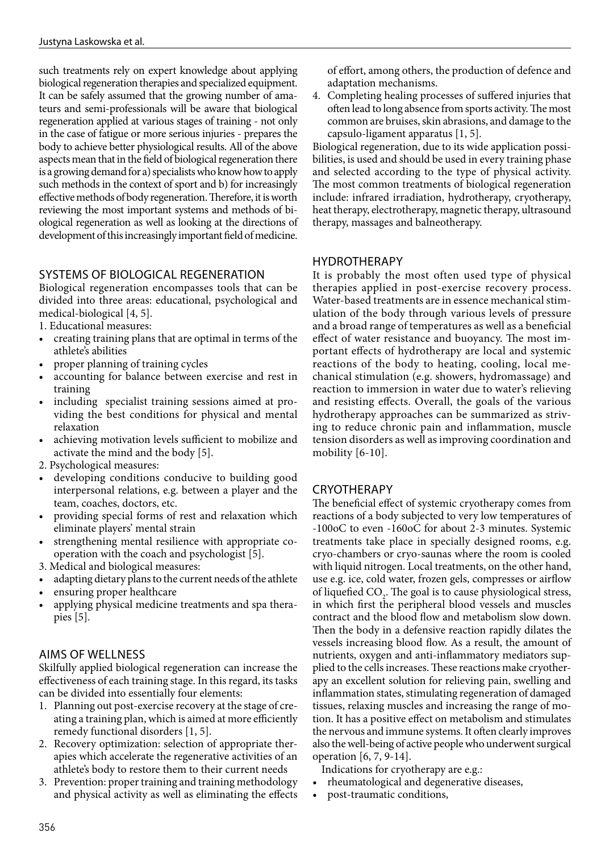such treatments rely on expert knowledge about applying biological regeneration therapies and specialized equipment. It can be safely assumed that the growing number of amateurs and semi-professionals will be aware that biological regeneration applied at various stages of training - not only in the case of fatigue or more serious injuries - prepares the body to achieve better physiological results. All of the above aspects mean that in the field of biological regeneration there is a growing demand for a) specialists who know how to apply such methods in the context of sport and b) for increasingly effective methods of body regeneration. Therefore, it is worth reviewing the most important systems and methods of biological regeneration as well as looking at the directions of development of this increasingly important field of medicine.

# SYSTEMS OF BIOLOGICAL REGENERATION

Biological regeneration encompasses tools that can be divided into three areas: educational, psychological and medical-biological [4, 5].

- 1. Educational measures:
- creating training plans that are optimal in terms of the athlete's abilities
- proper planning of training cycles
- accounting for balance between exercise and rest in training
- including specialist training sessions aimed at providing the best conditions for physical and mental relaxation
- achieving motivation levels sufficient to mobilize and activate the mind and the body [5].
- 2. Psychological measures:
- developing conditions conducive to building good interpersonal relations, e.g. between a player and the team, coaches, doctors, etc.
- providing special forms of rest and relaxation which eliminate players' mental strain
- strengthening mental resilience with appropriate cooperation with the coach and psychologist [5].
- 3. Medical and biological measures:
- adapting dietary plans to the current needs of the athlete
- ensuring proper healthcare
- applying physical medicine treatments and spa therapies [5].

# AIMS OF WELLNESS

Skilfully applied biological regeneration can increase the effectiveness of each training stage. In this regard, its tasks can be divided into essentially four elements:

- 1. Planning out post-exercise recovery at the stage of creating a training plan, which is aimed at more efficiently remedy functional disorders [1, 5].
- 2. Recovery optimization: selection of appropriate therapies which accelerate the regenerative activities of an athlete's body to restore them to their current needs
- 3. Prevention: proper training and training methodology and physical activity as well as eliminating the effects

of effort, among others, the production of defence and adaptation mechanisms.

4. Completing healing processes of suffered injuries that often lead to long absence from sports activity. The most common are bruises, skin abrasions, and damage to the capsulo-ligament apparatus [1, 5].

Biological regeneration, due to its wide application possibilities, is used and should be used in every training phase and selected according to the type of physical activity. The most common treatments of biological regeneration include: infrared irradiation, hydrotherapy, cryotherapy, heat therapy, electrotherapy, magnetic therapy, ultrasound therapy, massages and balneotherapy.

# HYDROTHERAPY

It is probably the most often used type of physical therapies applied in post-exercise recovery process. Water-based treatments are in essence mechanical stimulation of the body through various levels of pressure and a broad range of temperatures as well as a beneficial effect of water resistance and buoyancy. The most important effects of hydrotherapy are local and systemic reactions of the body to heating, cooling, local mechanical stimulation (e.g. showers, hydromassage) and reaction to immersion in water due to water's relieving and resisting effects. Overall, the goals of the various hydrotherapy approaches can be summarized as striving to reduce chronic pain and inflammation, muscle tension disorders as well as improving coordination and mobility [6-10].

# CRYOTHERAPY

The beneficial effect of systemic cryotherapy comes from reactions of a body subjected to very low temperatures of -100oC to even -160oC for about 2-3 minutes. Systemic treatments take place in specially designed rooms, e.g. cryo-chambers or cryo-saunas where the room is cooled with liquid nitrogen. Local treatments, on the other hand, use e.g. ice, cold water, frozen gels, compresses or airflow of liquefied  $CO_2$ . The goal is to cause physiological stress, in which first the peripheral blood vessels and muscles contract and the blood flow and metabolism slow down. Then the body in a defensive reaction rapidly dilates the vessels increasing blood flow. As a result, the amount of nutrients, oxygen and anti-inflammatory mediators supplied to the cells increases. These reactions make cryotherapy an excellent solution for relieving pain, swelling and inflammation states, stimulating regeneration of damaged tissues, relaxing muscles and increasing the range of motion. It has a positive effect on metabolism and stimulates the nervous and immune systems. It often clearly improves also the well-being of active people who underwent surgical operation [6, 7, 9-14].

Indications for cryotherapy are e.g.:

- rheumatological and degenerative diseases,
- post-traumatic conditions,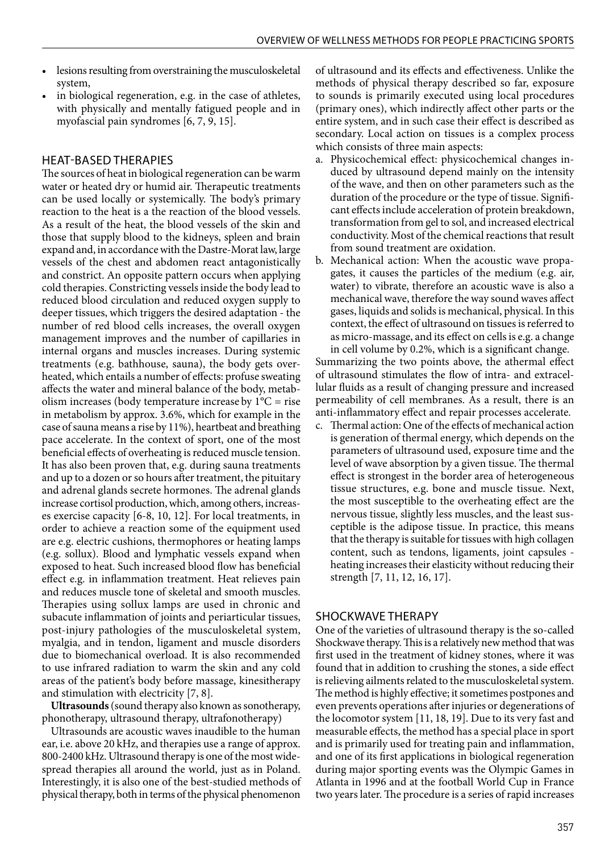- lesions resulting from overstraining the musculoskeletal system,
- in biological regeneration, e.g. in the case of athletes, with physically and mentally fatigued people and in myofascial pain syndromes [6, 7, 9, 15].

# HEAT-BASED THERAPIES

The sources of heat in biological regeneration can be warm water or heated dry or humid air. Therapeutic treatments can be used locally or systemically. The body's primary reaction to the heat is a the reaction of the blood vessels. As a result of the heat, the blood vessels of the skin and those that supply blood to the kidneys, spleen and brain expand and, in accordance with the Dastre-Morat law, large vessels of the chest and abdomen react antagonistically and constrict. An opposite pattern occurs when applying cold therapies. Constricting vessels inside the body lead to reduced blood circulation and reduced oxygen supply to deeper tissues, which triggers the desired adaptation - the number of red blood cells increases, the overall oxygen management improves and the number of capillaries in internal organs and muscles increases. During systemic treatments (e.g. bathhouse, sauna), the body gets overheated, which entails a number of effects: profuse sweating affects the water and mineral balance of the body, metabolism increases (body temperature increase by  $1^{\circ}C$  = rise in metabolism by approx. 3.6%, which for example in the case of sauna means a rise by 11%), heartbeat and breathing pace accelerate. In the context of sport, one of the most beneficial effects of overheating is reduced muscle tension. It has also been proven that, e.g. during sauna treatments and up to a dozen or so hours after treatment, the pituitary and adrenal glands secrete hormones. The adrenal glands increase cortisol production, which, among others, increases exercise capacity [6-8, 10, 12]. For local treatments, in order to achieve a reaction some of the equipment used are e.g. electric cushions, thermophores or heating lamps (e.g. sollux). Blood and lymphatic vessels expand when exposed to heat. Such increased blood flow has beneficial effect e.g. in inflammation treatment. Heat relieves pain and reduces muscle tone of skeletal and smooth muscles. Therapies using sollux lamps are used in chronic and subacute inflammation of joints and periarticular tissues, post-injury pathologies of the musculoskeletal system, myalgia, and in tendon, ligament and muscle disorders due to biomechanical overload. It is also recommended to use infrared radiation to warm the skin and any cold areas of the patient's body before massage, kinesitherapy and stimulation with electricity [7, 8].

**Ultrasounds** (sound therapy also known as sonotherapy, phonotherapy, ultrasound therapy, ultrafonotherapy)

Ultrasounds are acoustic waves inaudible to the human ear, i.e. above 20 kHz, and therapies use a range of approx. 800-2400 kHz. Ultrasound therapy is one of the most widespread therapies all around the world, just as in Poland. Interestingly, it is also one of the best-studied methods of physical therapy, both in terms of the physical phenomenon

of ultrasound and its effects and effectiveness. Unlike the methods of physical therapy described so far, exposure to sounds is primarily executed using local procedures (primary ones), which indirectly affect other parts or the entire system, and in such case their effect is described as secondary. Local action on tissues is a complex process which consists of three main aspects:

- a. Physicochemical effect: physicochemical changes induced by ultrasound depend mainly on the intensity of the wave, and then on other parameters such as the duration of the procedure or the type of tissue. Significant effects include acceleration of protein breakdown, transformation from gel to sol, and increased electrical conductivity. Most of the chemical reactions that result from sound treatment are oxidation.
- b. Mechanical action: When the acoustic wave propagates, it causes the particles of the medium (e.g. air, water) to vibrate, therefore an acoustic wave is also a mechanical wave, therefore the way sound waves affect gases, liquids and solids is mechanical, physical. In this context, the effect of ultrasound on tissues is referred to as micro-massage, and its effect on cells is e.g. a change in cell volume by 0.2%, which is a significant change.

Summarizing the two points above, the athermal effect of ultrasound stimulates the flow of intra- and extracellular fluids as a result of changing pressure and increased permeability of cell membranes. As a result, there is an anti-inflammatory effect and repair processes accelerate.

c. Thermal action: One of the effects of mechanical action is generation of thermal energy, which depends on the parameters of ultrasound used, exposure time and the level of wave absorption by a given tissue. The thermal effect is strongest in the border area of heterogeneous tissue structures, e.g. bone and muscle tissue. Next, the most susceptible to the overheating effect are the nervous tissue, slightly less muscles, and the least susceptible is the adipose tissue. In practice, this means that the therapy is suitable for tissues with high collagen content, such as tendons, ligaments, joint capsules heating increases their elasticity without reducing their strength [7, 11, 12, 16, 17].

# SHOCKWAVE THERAPY

One of the varieties of ultrasound therapy is the so-called Shockwave therapy. This is a relatively new method that was first used in the treatment of kidney stones, where it was found that in addition to crushing the stones, a side effect is relieving ailments related to the musculoskeletal system. The method is highly effective; it sometimes postpones and even prevents operations after injuries or degenerations of the locomotor system [11, 18, 19]. Due to its very fast and measurable effects, the method has a special place in sport and is primarily used for treating pain and inflammation, and one of its first applications in biological regeneration during major sporting events was the Olympic Games in Atlanta in 1996 and at the football World Cup in France two years later. The procedure is a series of rapid increases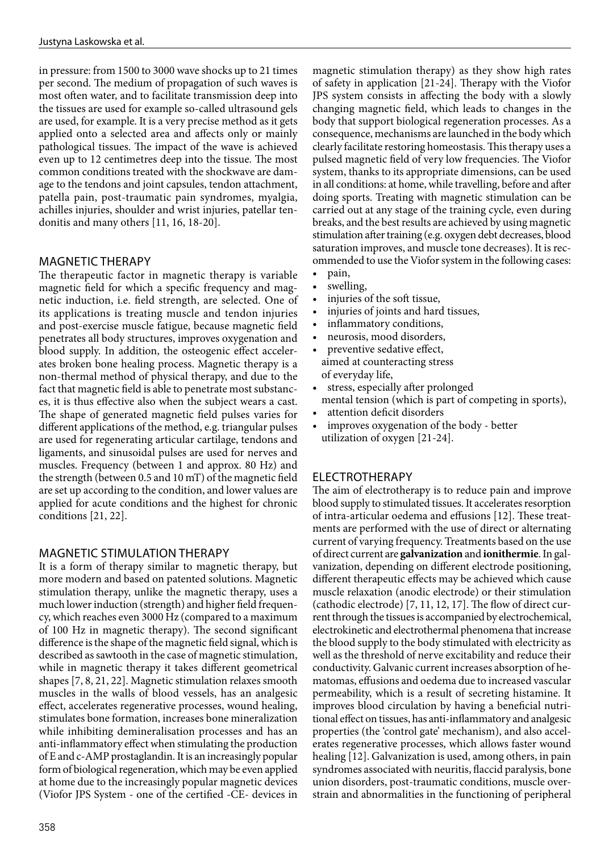in pressure: from 1500 to 3000 wave shocks up to 21 times per second. The medium of propagation of such waves is most often water, and to facilitate transmission deep into the tissues are used for example so-called ultrasound gels are used, for example. It is a very precise method as it gets applied onto a selected area and affects only or mainly pathological tissues. The impact of the wave is achieved even up to 12 centimetres deep into the tissue. The most common conditions treated with the shockwave are damage to the tendons and joint capsules, tendon attachment, patella pain, post-traumatic pain syndromes, myalgia, achilles injuries, shoulder and wrist injuries, patellar tendonitis and many others [11, 16, 18-20].

## MAGNETIC THERAPY

The therapeutic factor in magnetic therapy is variable magnetic field for which a specific frequency and magnetic induction, i.e. field strength, are selected. One of its applications is treating muscle and tendon injuries and post-exercise muscle fatigue, because magnetic field penetrates all body structures, improves oxygenation and blood supply. In addition, the osteogenic effect accelerates broken bone healing process. Magnetic therapy is a non-thermal method of physical therapy, and due to the fact that magnetic field is able to penetrate most substances, it is thus effective also when the subject wears a cast. The shape of generated magnetic field pulses varies for different applications of the method, e.g. triangular pulses are used for regenerating articular cartilage, tendons and ligaments, and sinusoidal pulses are used for nerves and muscles. Frequency (between 1 and approx. 80 Hz) and the strength (between 0.5 and 10 mT) of the magnetic field are set up according to the condition, and lower values are applied for acute conditions and the highest for chronic conditions [21, 22].

## MAGNETIC STIMULATION THERAPY

It is a form of therapy similar to magnetic therapy, but more modern and based on patented solutions. Magnetic stimulation therapy, unlike the magnetic therapy, uses a much lower induction (strength) and higher field frequency, which reaches even 3000 Hz (compared to a maximum of 100 Hz in magnetic therapy). The second significant difference is the shape of the magnetic field signal, which is described as sawtooth in the case of magnetic stimulation, while in magnetic therapy it takes different geometrical shapes [7, 8, 21, 22]. Magnetic stimulation relaxes smooth muscles in the walls of blood vessels, has an analgesic effect, accelerates regenerative processes, wound healing, stimulates bone formation, increases bone mineralization while inhibiting demineralisation processes and has an anti-inflammatory effect when stimulating the production of E and c-AMP prostaglandin. It is an increasingly popular form of biological regeneration, which may be even applied at home due to the increasingly popular magnetic devices (Viofor JPS System - one of the certified -CE- devices in magnetic stimulation therapy) as they show high rates of safety in application [21-24]. Therapy with the Viofor JPS system consists in affecting the body with a slowly changing magnetic field, which leads to changes in the body that support biological regeneration processes. As a consequence, mechanisms are launched in the body which clearly facilitate restoring homeostasis. This therapy uses a pulsed magnetic field of very low frequencies. The Viofor system, thanks to its appropriate dimensions, can be used in all conditions: at home, while travelling, before and after doing sports. Treating with magnetic stimulation can be carried out at any stage of the training cycle, even during breaks, and the best results are achieved by using magnetic stimulation after training (e.g. oxygen debt decreases, blood saturation improves, and muscle tone decreases). It is recommended to use the Viofor system in the following cases:

- pain,
- swelling,
- injuries of the soft tissue,
- injuries of joints and hard tissues,
- inflammatory conditions,
- neurosis, mood disorders,
- preventive sedative effect, aimed at counteracting stress of everyday life,
- stress, especially after prolonged
- mental tension (which is part of competing in sports),
- attention deficit disorders
- improves oxygenation of the body better utilization of oxygen [21-24].

# ELECTROTHERAPY

The aim of electrotherapy is to reduce pain and improve blood supply to stimulated tissues. It accelerates resorption of intra-articular oedema and effusions [12]. These treatments are performed with the use of direct or alternating current of varying frequency. Treatments based on the use of direct current are **galvanization** and **ionithermie**. In galvanization, depending on different electrode positioning, different therapeutic effects may be achieved which cause muscle relaxation (anodic electrode) or their stimulation (cathodic electrode) [7, 11, 12, 17]. The flow of direct current through the tissues is accompanied by electrochemical, electrokinetic and electrothermal phenomena that increase the blood supply to the body stimulated with electricity as well as the threshold of nerve excitability and reduce their conductivity. Galvanic current increases absorption of hematomas, effusions and oedema due to increased vascular permeability, which is a result of secreting histamine. It improves blood circulation by having a beneficial nutritional effect on tissues, has anti-inflammatory and analgesic properties (the 'control gate' mechanism), and also accelerates regenerative processes, which allows faster wound healing [12]. Galvanization is used, among others, in pain syndromes associated with neuritis, flaccid paralysis, bone union disorders, post-traumatic conditions, muscle overstrain and abnormalities in the functioning of peripheral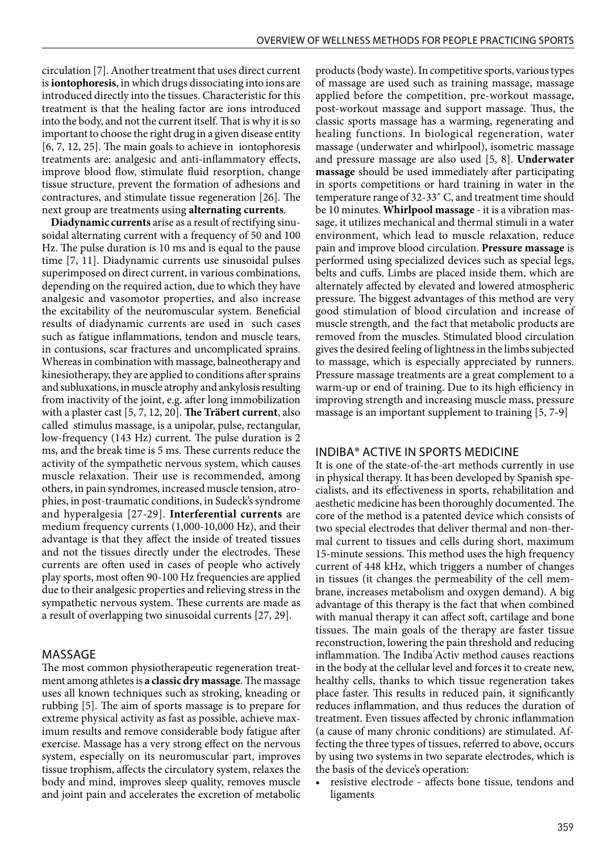circulation [7]. Another treatment that uses direct current is **iontophoresis**, in which drugs dissociating into ions are introduced directly into the tissues. Characteristic for this treatment is that the healing factor are ions introduced into the body, and not the current itself. That is why it is so important to choose the right drug in a given disease entity [6, 7, 12, 25]. The main goals to achieve in iontophoresis treatments are: analgesic and anti-inflammatory effects, improve blood flow, stimulate fluid resorption, change tissue structure, prevent the formation of adhesions and contractures, and stimulate tissue regeneration [26]. The next group are treatments using **alternating currents**.

**Diadynamic currents** arise as a result of rectifying sinusoidal alternating current with a frequency of 50 and 100 Hz. The pulse duration is 10 ms and is equal to the pause time [7, 11]. Diadynamic currents use sinusoidal pulses superimposed on direct current, in various combinations, depending on the required action, due to which they have analgesic and vasomotor properties, and also increase the excitability of the neuromuscular system. Beneficial results of diadynamic currents are used in such cases such as fatigue inflammations, tendon and muscle tears, in contusions, scar fractures and uncomplicated sprains. Whereas in combination with massage, balneotherapy and kinesiotherapy, they are applied to conditions after sprains and subluxations, in muscle atrophy and ankylosis resulting from inactivity of the joint, e.g. after long immobilization with a plaster cast [5, 7, 12, 20]. **The Träbert current**, also called stimulus massage, is a unipolar, pulse, rectangular, low-frequency (143 Hz) current. The pulse duration is 2 ms, and the break time is 5 ms. These currents reduce the activity of the sympathetic nervous system, which causes muscle relaxation. Their use is recommended, among others, in pain syndromes, increased muscle tension, atrophies, in post-traumatic conditions, in Sudeck's syndrome and hyperalgesia [27-29]. **Interferential currents** are medium frequency currents (1,000-10,000 Hz), and their advantage is that they affect the inside of treated tissues and not the tissues directly under the electrodes. These currents are often used in cases of people who actively play sports, most often 90-100 Hz frequencies are applied due to their analgesic properties and relieving stress in the sympathetic nervous system. These currents are made as a result of overlapping two sinusoidal currents [27, 29].

# MASSAGE

The most common physiotherapeutic regeneration treatment among athletes is **a classic dry massage**. The massage uses all known techniques such as stroking, kneading or rubbing [5]. The aim of sports massage is to prepare for extreme physical activity as fast as possible, achieve maximum results and remove considerable body fatigue after exercise. Massage has a very strong effect on the nervous system, especially on its neuromuscular part, improves tissue trophism, affects the circulatory system, relaxes the body and mind, improves sleep quality, removes muscle and joint pain and accelerates the excretion of metabolic products (body waste). In competitive sports, various types of massage are used such as training massage, massage applied before the competition, pre-workout massage, post-workout massage and support massage. Thus, the classic sports massage has a warming, regenerating and healing functions. In biological regeneration, water massage (underwater and whirlpool), isometric massage and pressure massage are also used [5, 8]. **Underwater massage** should be used immediately after participating in sports competitions or hard training in water in the temperature range of 32-33˚ C, and treatment time should be 10 minutes. **Whirlpool massage** - it is a vibration massage, it utilizes mechanical and thermal stimuli in a water environment, which lead to muscle relaxation, reduce pain and improve blood circulation. **Pressure massage** is performed using specialized devices such as special legs, belts and cuffs. Limbs are placed inside them, which are alternately affected by elevated and lowered atmospheric pressure. The biggest advantages of this method are very good stimulation of blood circulation and increase of muscle strength, and the fact that metabolic products are removed from the muscles. Stimulated blood circulation gives the desired feeling of lightness in the limbs subjected to massage, which is especially appreciated by runners. Pressure massage treatments are a great complement to a warm-up or end of training. Due to its high efficiency in improving strength and increasing muscle mass, pressure massage is an important supplement to training [5, 7-9]

#### INDIBA® ACTIVE IN SPORTS MEDICINE

It is one of the state-of-the-art methods currently in use in physical therapy. It has been developed by Spanish specialists, and its effectiveness in sports, rehabilitation and aesthetic medicine has been thoroughly documented. The core of the method is a patented device which consists of two special electrodes that deliver thermal and non-thermal current to tissues and cells during short, maximum 15-minute sessions. This method uses the high frequency current of 448 kHz, which triggers a number of changes in tissues (it changes the permeability of the cell membrane, increases metabolism and oxygen demand). A big advantage of this therapy is the fact that when combined with manual therapy it can affect soft, cartilage and bone tissues. The main goals of the therapy are faster tissue reconstruction, lowering the pain threshold and reducing inflammation. The Indiba Activ method causes reactions in the body at the cellular level and forces it to create new, healthy cells, thanks to which tissue regeneration takes place faster. This results in reduced pain, it significantly reduces inflammation, and thus reduces the duration of treatment. Even tissues affected by chronic inflammation (a cause of many chronic conditions) are stimulated. Affecting the three types of tissues, referred to above, occurs by using two systems in two separate electrodes, which is the basis of the device's operation:

resistive electrode - affects bone tissue, tendons and ligaments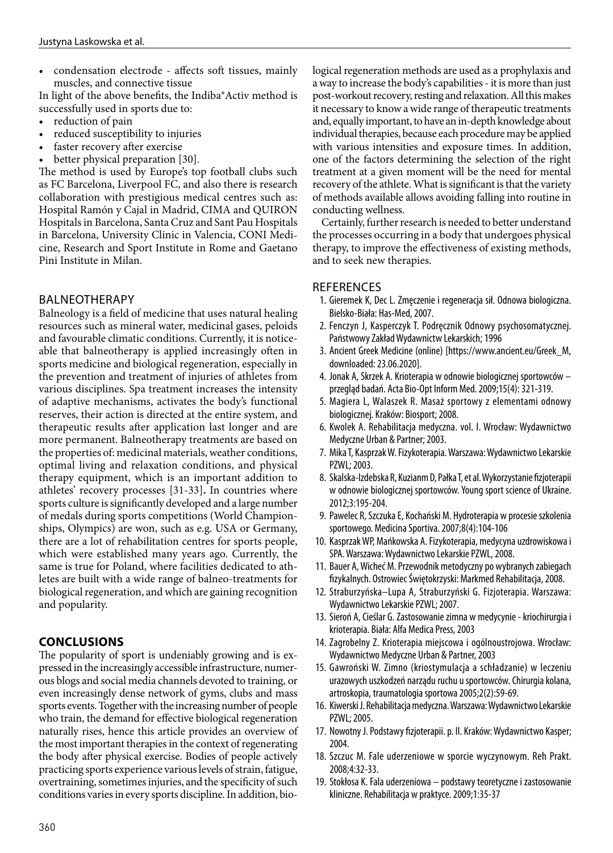• condensation electrode - affects soft tissues, mainly muscles, and connective tissue

In light of the above benefits, the Indiba®Activ method is successfully used in sports due to:

- reduction of pain
- reduced susceptibility to injuries
- faster recovery after exercise
- better physical preparation [30].

The method is used by Europe's top football clubs such as FC Barcelona, Liverpool FC, and also there is research collaboration with prestigious medical centres such as: Hospital Ramón y Cajal in Madrid, CIMA and QUIRON Hospitals in Barcelona, Santa Cruz and Sant Pau Hospitals in Barcelona, University Clinic in Valencia, CONI Medicine, Research and Sport Institute in Rome and Gaetano Pini Institute in Milan.

# BALNEOTHERAPY

Balneology is a field of medicine that uses natural healing resources such as mineral water, medicinal gases, peloids and favourable climatic conditions. Currently, it is noticeable that balneotherapy is applied increasingly often in sports medicine and biological regeneration, especially in the prevention and treatment of injuries of athletes from various disciplines. Spa treatment increases the intensity of adaptive mechanisms, activates the body's functional reserves, their action is directed at the entire system, and therapeutic results after application last longer and are more permanent. Balneotherapy treatments are based on the properties of: medicinal materials, weather conditions, optimal living and relaxation conditions, and physical therapy equipment, which is an important addition to athletes' recovery processes [31-33]**.** In countries where sports culture is significantly developed and a large number of medals during sports competitions (World Championships, Olympics) are won, such as e.g. USA or Germany, there are a lot of rehabilitation centres for sports people, which were established many years ago. Currently, the same is true for Poland, where facilities dedicated to athletes are built with a wide range of balneo-treatments for biological regeneration, and which are gaining recognition and popularity.

# **CONCLUSIONS**

The popularity of sport is undeniably growing and is expressed in the increasingly accessible infrastructure, numerous blogs and social media channels devoted to training, or even increasingly dense network of gyms, clubs and mass sports events. Together with the increasing number of people who train, the demand for effective biological regeneration naturally rises, hence this article provides an overview of the most important therapies in the context of regenerating the body after physical exercise. Bodies of people actively practicing sports experience various levels of strain, fatigue, overtraining, sometimes injuries, and the specificity of such conditions varies in every sports discipline. In addition, biological regeneration methods are used as a prophylaxis and a way to increase the body's capabilities - it is more than just post-workout recovery, resting and relaxation. All this makes it necessary to know a wide range of therapeutic treatments and, equally important, to have an in-depth knowledge about individual therapies, because each procedure may be applied with various intensities and exposure times. In addition, one of the factors determining the selection of the right treatment at a given moment will be the need for mental recovery of the athlete. What is significant is that the variety of methods available allows avoiding falling into routine in conducting wellness.

Certainly, further research is needed to better understand the processes occurring in a body that undergoes physical therapy, to improve the effectiveness of existing methods, and to seek new therapies.

## **REFERENCES**

- 1. Gieremek K, Dec L. Zmęczenie i regeneracja sił. Odnowa biologiczna. Bielsko-Biała: Has-Med, 2007.
- 2. Fenczyn J, Kasperczyk T. Podręcznik Odnowy psychosomatycznej. Państwowy Zakład Wydawnictw Lekarskich; 1996
- 3. Ancient Greek Medicine (online) [https://www.ancient.eu/Greek\_M, downloaded: 23.06.2020].
- 4. Jonak A, Skrzek A. Krioterapia w odnowie biologicznej sportowców przegląd badań. Acta Bio-Opt Inform Med. 2009;15(4): 321-319.
- 5. Magiera L, Walaszek R. Masaż sportowy z elementami odnowy biologicznej. Kraków: Biosport; 2008.
- 6. Kwolek A. Rehabilitacja medyczna. vol. I. Wrocław: Wydawnictwo Medyczne Urban & Partner; 2003.
- 7. Mika T, Kasprzak W. Fizykoterapia. Warszawa: Wydawnictwo Lekarskie PZWL; 2003.
- 8. Skalska-Izdebska R, Kuzianm D, Pałka T, et al. Wykorzystanie fizjoterapii w odnowie biologicznej sportowców. Young sport science of Ukraine. 2012;3:195-204.
- 9. Pawelec R, Szczuka E, Kochański M. Hydroterapia w procesie szkolenia sportowego. Medicina Sportiva. 2007;8(4):104-106
- 10. Kasprzak WP, Mańkowska A. Fizykoterapia, medycyna uzdrowiskowa i SPA. Warszawa: Wydawnictwo Lekarskie PZWL, 2008.
- 11. Bauer A, Wicheć M. Przewodnik metodyczny po wybranych zabiegach fizykalnych. Ostrowiec Świętokrzyski: Markmed Rehabilitacja, 2008.
- 12. Straburzyńska–Lupa A, Straburzyński G. Fizjoterapia. Warszawa: Wydawnictwo Lekarskie PZWL; 2007.
- 13. Sieroń A, Cieślar G. Zastosowanie zimna w medycynie kriochirurgia i krioterapia. Biała: Alfa Medica Press, 2003
- 14. Zagrobelny Z. Krioterapia miejscowa i ogólnoustrojowa. Wrocław: Wydawnictwo Medyczne Urban & Partner, 2003
- 15. Gawroński W. Zimno (kriostymulacja a schładzanie) w leczeniu urazowych uszkodzeń narządu ruchu u sportowców. Chirurgia kolana, artroskopia, traumatologia sportowa 2005;2(2):59-69.
- 16. Kiwerski J. Rehabilitacja medyczna. Warszawa: Wydawnictwo Lekarskie PZWL; 2005.
- 17. Nowotny J. Podstawy fizjoterapii. p. II. Kraków: Wydawnictwo Kasper; 2004.
- 18. Szczuc M. Fale uderzeniowe w sporcie wyczynowym. Reh Prakt. 2008;4:32-33.
- 19. Stokłosa K. Fala uderzeniowa podstawy teoretyczne i zastosowanie kliniczne. Rehabilitacja w praktyce. 2009;1:35-37